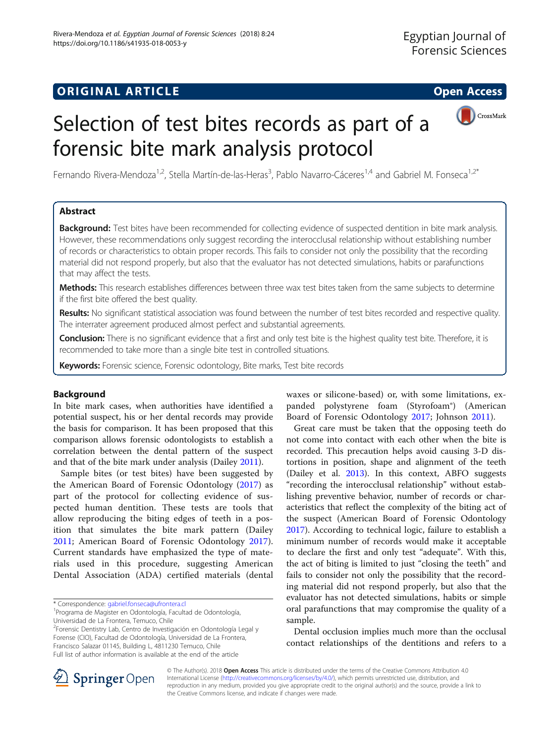## **ORIGINAL ARTICLE CONSERVANCE IN A LOCAL CONSERVANCE IN A LOCAL CONSERVANCE IN A LOCAL CONSERVANCE IN A LOCAL CONS**

# CrossMark

## Selection of test bites records as part of a forensic bite mark analysis protocol

Fernando Rivera-Mendoza<sup>1,2</sup>, Stella Martín-de-las-Heras<sup>3</sup>, Pablo Navarro-Cáceres<sup>1,4</sup> and Gabriel M. Fonseca<sup>1,2\*</sup>

## Abstract

Background: Test bites have been recommended for collecting evidence of suspected dentition in bite mark analysis. However, these recommendations only suggest recording the interocclusal relationship without establishing number of records or characteristics to obtain proper records. This fails to consider not only the possibility that the recording material did not respond properly, but also that the evaluator has not detected simulations, habits or parafunctions that may affect the tests.

Methods: This research establishes differences between three wax test bites taken from the same subjects to determine if the first bite offered the best quality.

Results: No significant statistical association was found between the number of test bites recorded and respective quality. The interrater agreement produced almost perfect and substantial agreements.

Conclusion: There is no significant evidence that a first and only test bite is the highest quality test bite. Therefore, it is recommended to take more than a single bite test in controlled situations.

Keywords: Forensic science, Forensic odontology, Bite marks, Test bite records

## Background

In bite mark cases, when authorities have identified a potential suspect, his or her dental records may provide the basis for comparison. It has been proposed that this comparison allows forensic odontologists to establish a correlation between the dental pattern of the suspect and that of the bite mark under analysis (Dailey [2011](#page-6-0)).

Sample bites (or test bites) have been suggested by the American Board of Forensic Odontology ([2017\)](#page-6-0) as part of the protocol for collecting evidence of suspected human dentition. These tests are tools that allow reproducing the biting edges of teeth in a position that simulates the bite mark pattern (Dailey [2011;](#page-6-0) American Board of Forensic Odontology [2017](#page-6-0)). Current standards have emphasized the type of materials used in this procedure, suggesting American Dental Association (ADA) certified materials (dental

\* Correspondence: [gabriel.fonseca@ufrontera.cl](mailto:gabriel.fonseca@ufrontera.cl) <sup>1</sup>

Universidad de La Frontera, Temuco, Chile

<sup>2</sup>Forensic Dentistry Lab, Centro de Investigación en Odontología Legal y Forense (CIO), Facultad de Odontología, Universidad de La Frontera, Francisco Salazar 01145, Building L, 4811230 Temuco, Chile Full list of author information is available at the end of the article

waxes or silicone-based) or, with some limitations, expanded polystyrene foam (Styrofoam®) (American Board of Forensic Odontology [2017;](#page-6-0) Johnson [2011\)](#page-6-0).

Great care must be taken that the opposing teeth do not come into contact with each other when the bite is recorded. This precaution helps avoid causing 3-D distortions in position, shape and alignment of the teeth (Dailey et al. [2013\)](#page-6-0). In this context, ABFO suggests "recording the interocclusal relationship" without establishing preventive behavior, number of records or characteristics that reflect the complexity of the biting act of the suspect (American Board of Forensic Odontology [2017](#page-6-0)). According to technical logic, failure to establish a minimum number of records would make it acceptable to declare the first and only test "adequate". With this, the act of biting is limited to just "closing the teeth" and fails to consider not only the possibility that the recording material did not respond properly, but also that the evaluator has not detected simulations, habits or simple oral parafunctions that may compromise the quality of a sample.

Dental occlusion implies much more than the occlusal contact relationships of the dentitions and refers to a



© The Author(s). 2018 Open Access This article is distributed under the terms of the Creative Commons Attribution 4.0 International License ([http://creativecommons.org/licenses/by/4.0/\)](http://creativecommons.org/licenses/by/4.0/), which permits unrestricted use, distribution, and reproduction in any medium, provided you give appropriate credit to the original author(s) and the source, provide a link to the Creative Commons license, and indicate if changes were made.

<sup>&</sup>lt;sup>1</sup> Programa de Magister en Odontología, Facultad de Odontología,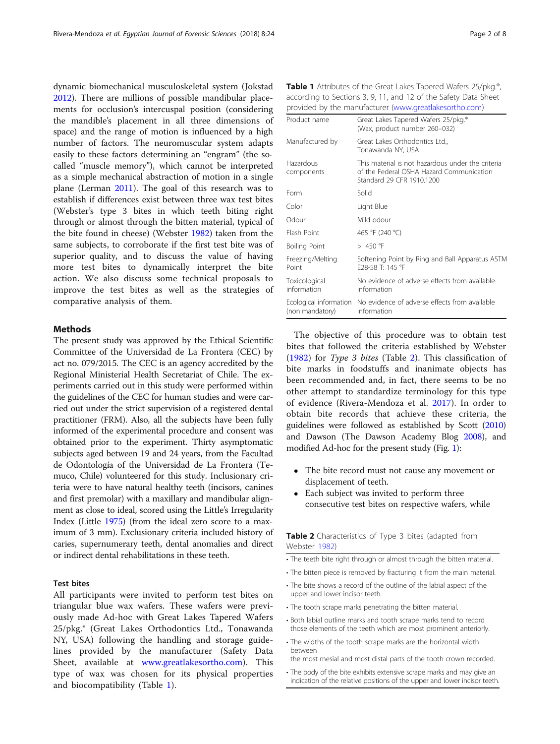dynamic biomechanical musculoskeletal system (Jokstad [2012](#page-6-0)). There are millions of possible mandibular placements for occlusion's intercuspal position (considering the mandible's placement in all three dimensions of space) and the range of motion is influenced by a high number of factors. The neuromuscular system adapts easily to these factors determining an "engram" (the socalled "muscle memory"), which cannot be interpreted as a simple mechanical abstraction of motion in a single plane (Lerman [2011\)](#page-6-0). The goal of this research was to establish if differences exist between three wax test bites (Webster's type 3 bites in which teeth biting right through or almost through the bitten material, typical of the bite found in cheese) (Webster [1982\)](#page-7-0) taken from the same subjects, to corroborate if the first test bite was of superior quality, and to discuss the value of having more test bites to dynamically interpret the bite action. We also discuss some technical proposals to improve the test bites as well as the strategies of comparative analysis of them.

### Methods

The present study was approved by the Ethical Scientific Committee of the Universidad de La Frontera (CEC) by act no. 079/2015. The CEC is an agency accredited by the Regional Ministerial Health Secretariat of Chile. The experiments carried out in this study were performed within the guidelines of the CEC for human studies and were carried out under the strict supervision of a registered dental practitioner (FRM). Also, all the subjects have been fully informed of the experimental procedure and consent was obtained prior to the experiment. Thirty asymptomatic subjects aged between 19 and 24 years, from the Facultad de Odontología of the Universidad de La Frontera (Temuco, Chile) volunteered for this study. Inclusionary criteria were to have natural healthy teeth (incisors, canines and first premolar) with a maxillary and mandibular alignment as close to ideal, scored using the Little's Irregularity Index (Little [1975\)](#page-6-0) (from the ideal zero score to a maximum of 3 mm). Exclusionary criteria included history of caries, supernumerary teeth, dental anomalies and direct or indirect dental rehabilitations in these teeth.

## Test bites

All participants were invited to perform test bites on triangular blue wax wafers. These wafers were previously made Ad-hoc with Great Lakes Tapered Wafers 25/pkg.® (Great Lakes Orthodontics Ltd., Tonawanda NY, USA) following the handling and storage guidelines provided by the manufacturer (Safety Data Sheet, available at [www.greatlakesortho.com](http://www.greatlakesortho.com)). This type of wax was chosen for its physical properties and biocompatibility (Table 1).

| Table 1 Attributes of the Great Lakes Tapered Wafers 25/pkg. <sup>®</sup> , |
|-----------------------------------------------------------------------------|
| according to Sections 3, 9, 11, and 12 of the Safety Data Sheet             |
| provided by the manufacturer (www.greatlakesortho.com)                      |

| Product name                              | Great Lakes Tapered Wafers 25/pkg.®<br>(Wax, product number 260-032)                                                       |
|-------------------------------------------|----------------------------------------------------------------------------------------------------------------------------|
| Manufactured by                           | Great Lakes Orthodontics Ltd.,<br>Tonawanda NY, USA                                                                        |
| Hazardous<br>components                   | This material is not hazardous under the criteria<br>of the Federal OSHA Hazard Communication<br>Standard 29 CER 1910.1200 |
| Form                                      | Solid                                                                                                                      |
| Color                                     | Light Blue                                                                                                                 |
| Odour                                     | Mild odour                                                                                                                 |
| Flash Point                               | 465 °F (240 °C)                                                                                                            |
| <b>Boiling Point</b>                      | > 450 °F                                                                                                                   |
| Freezing/Melting<br>Point                 | Softening Point by Ring and Ball Apparatus ASTM<br>F28-58 T: 145 °F                                                        |
| Toxicological<br>information              | No evidence of adverse effects from available<br>information                                                               |
| Ecological information<br>(non mandatory) | No evidence of adverse effects from available<br>information                                                               |

The objective of this procedure was to obtain test bites that followed the criteria established by Webster ([1982\)](#page-7-0) for Type 3 bites (Table 2). This classification of bite marks in foodstuffs and inanimate objects has been recommended and, in fact, there seems to be no other attempt to standardize terminology for this type of evidence (Rivera-Mendoza et al. [2017\)](#page-7-0). In order to obtain bite records that achieve these criteria, the guidelines were followed as established by Scott [\(2010](#page-7-0)) and Dawson (The Dawson Academy Blog [2008\)](#page-7-0), and modified Ad-hoc for the present study (Fig. [1\)](#page-2-0):

- The bite record must not cause any movement or displacement of teeth.
- Each subject was invited to perform three consecutive test bites on respective wafers, while

## Table 2 Characteristics of Type 3 bites (adapted from Webster [1982\)](#page-7-0)

- The teeth bite right through or almost through the bitten material.
- The bitten piece is removed by fracturing it from the main material.
- The bite shows a record of the outline of the labial aspect of the upper and lower incisor teeth.
- The tooth scrape marks penetrating the bitten material.
- Both labial outline marks and tooth scrape marks tend to record those elements of the teeth which are most prominent anteriorly.
- The widths of the tooth scrape marks are the horizontal width between
- the most mesial and most distal parts of the tooth crown recorded.
- The body of the bite exhibits extensive scrape marks and may give an indication of the relative positions of the upper and lower incisor teeth.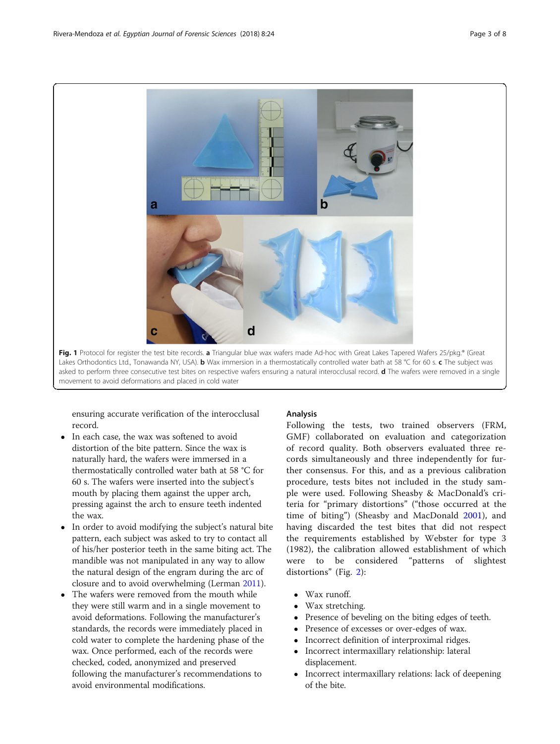<span id="page-2-0"></span>

ensuring accurate verification of the interocclusal record.

- In each case, the wax was softened to avoid distortion of the bite pattern. Since the wax is naturally hard, the wafers were immersed in a thermostatically controlled water bath at 58 °C for 60 s. The wafers were inserted into the subject's mouth by placing them against the upper arch, pressing against the arch to ensure teeth indented the wax.
- In order to avoid modifying the subject's natural bite pattern, each subject was asked to try to contact all of his/her posterior teeth in the same biting act. The mandible was not manipulated in any way to allow the natural design of the engram during the arc of closure and to avoid overwhelming (Lerman [2011\)](#page-6-0).
- The wafers were removed from the mouth while they were still warm and in a single movement to avoid deformations. Following the manufacturer's standards, the records were immediately placed in cold water to complete the hardening phase of the wax. Once performed, each of the records were checked, coded, anonymized and preserved following the manufacturer's recommendations to avoid environmental modifications.

#### Analysis

Following the tests, two trained observers (FRM, GMF) collaborated on evaluation and categorization of record quality. Both observers evaluated three records simultaneously and three independently for further consensus. For this, and as a previous calibration procedure, tests bites not included in the study sample were used. Following Sheasby & MacDonald's criteria for "primary distortions" ("those occurred at the time of biting") (Sheasby and MacDonald [2001\)](#page-7-0), and having discarded the test bites that did not respect the requirements established by Webster for type 3 (1982), the calibration allowed establishment of which were to be considered "patterns of slightest distortions" (Fig. [2\)](#page-3-0):

- Wax runoff.
- Wax stretching.
- Presence of beveling on the biting edges of teeth.<br>• Presence of excesses or over-edges of wax.
- Presence of excesses or over-edges of wax.<br>• Incorrect definition of interproximal ridges
- Incorrect definition of interproximal ridges.
- Incorrect intermaxillary relationship: lateral displacement.
- Incorrect intermaxillary relations: lack of deepening of the bite.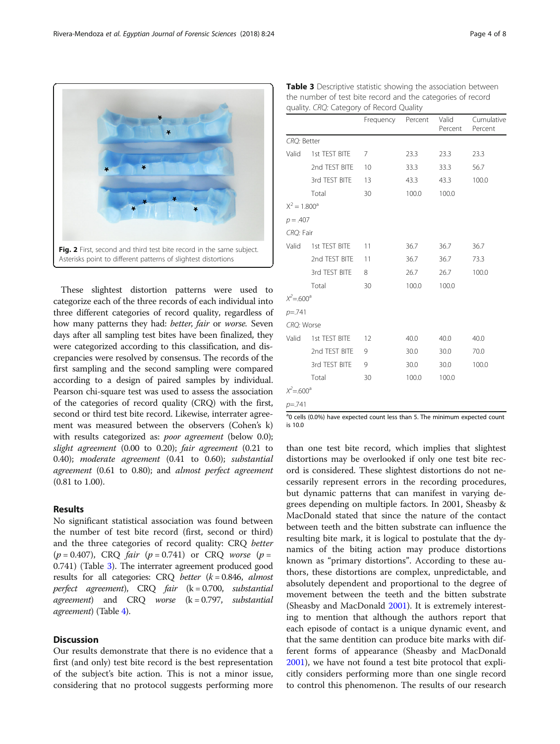<span id="page-3-0"></span>

These slightest distortion patterns were used to categorize each of the three records of each individual into three different categories of record quality, regardless of how many patterns they had: better, fair or worse. Seven days after all sampling test bites have been finalized, they were categorized according to this classification, and discrepancies were resolved by consensus. The records of the first sampling and the second sampling were compared according to a design of paired samples by individual. Pearson chi-square test was used to assess the association of the categories of record quality (CRQ) with the first, second or third test bite record. Likewise, interrater agreement was measured between the observers (Cohen's k) with results categorized as: *poor agreement* (below 0.0); slight agreement (0.00 to 0.20); fair agreement (0.21 to 0.40); moderate agreement (0.41 to 0.60); substantial agreement (0.61 to 0.80); and almost perfect agreement (0.81 to 1.00).

## Results

No significant statistical association was found between the number of test bite record (first, second or third) and the three categories of record quality: CRQ better  $(p = 0.407)$ , CRQ fair  $(p = 0.741)$  or CRQ worse  $(p = 0.407)$ 0.741) (Table 3). The interrater agreement produced good results for all categories: CRQ better  $(k = 0.846,$  almost perfect agreement),  $C R Q$  fair  $(k = 0.700,$  substantial agreement) and  $CRQ$  worse  $(k = 0.797,$  substantial agreement) (Table [4\)](#page-4-0).

## **Discussion**

Our results demonstrate that there is no evidence that a first (and only) test bite record is the best representation of the subject's bite action. This is not a minor issue, considering that no protocol suggests performing more

|                 |               | Frequency | Percent | Valid<br>Percent | Cumulative<br>Percent |
|-----------------|---------------|-----------|---------|------------------|-----------------------|
| CRQ: Better     |               |           |         |                  |                       |
| Valid           | 1st TEST BITE | 7         | 23.3    | 23.3             | 23.3                  |
|                 | 2nd TEST BITE | 10        | 33.3    | 33.3             | 56.7                  |
|                 | 3rd TEST BITE | 13        | 43.3    | 43.3             | 100.0                 |
|                 | Total         | 30        | 100.0   | 100.0            |                       |
| $X^2 = 1.800^a$ |               |           |         |                  |                       |
| $p = .407$      |               |           |         |                  |                       |
| CRQ: Fair       |               |           |         |                  |                       |
| Valid           | 1st TEST BITE | 11        | 36.7    | 36.7             | 36.7                  |
|                 | 2nd TEST BITE | 11        | 36.7    | 36.7             | 73.3                  |
|                 | 3rd TEST BITE | 8         | 26.7    | 26.7             | 100.0                 |
|                 | Total         | 30        | 100.0   | 100.0            |                       |
| $X^2 = 600^a$   |               |           |         |                  |                       |
| $p = 741$       |               |           |         |                  |                       |
| CRQ: Worse      |               |           |         |                  |                       |
| Valid           | 1st TEST BITE | 12        | 40.0    | 40.0             | 40.0                  |
|                 | 2nd TEST BITE | 9         | 30.0    | 30.0             | 70.0                  |
|                 | 3rd TEST BITE | 9         | 30.0    | 30.0             | 100.0                 |
|                 | Total         | 30        | 100.0   | 100.0            |                       |
| $X^2 = 600^a$   |               |           |         |                  |                       |
| 741             |               |           |         |                  |                       |

Table 3 Descriptive statistic showing the association between the number of test bite record and the categories of record

quality. CRQ: Category of Record Quality

 $p=741$ 

<sup>a</sup>0 cells (0.0%) have expected count less than 5. The minimum expected count is 10.0

than one test bite record, which implies that slightest distortions may be overlooked if only one test bite record is considered. These slightest distortions do not necessarily represent errors in the recording procedures, but dynamic patterns that can manifest in varying degrees depending on multiple factors. In 2001, Sheasby & MacDonald stated that since the nature of the contact between teeth and the bitten substrate can influence the resulting bite mark, it is logical to postulate that the dynamics of the biting action may produce distortions known as "primary distortions". According to these authors, these distortions are complex, unpredictable, and absolutely dependent and proportional to the degree of movement between the teeth and the bitten substrate (Sheasby and MacDonald [2001\)](#page-7-0). It is extremely interesting to mention that although the authors report that each episode of contact is a unique dynamic event, and that the same dentition can produce bite marks with different forms of appearance (Sheasby and MacDonald [2001](#page-7-0)), we have not found a test bite protocol that explicitly considers performing more than one single record to control this phenomenon. The results of our research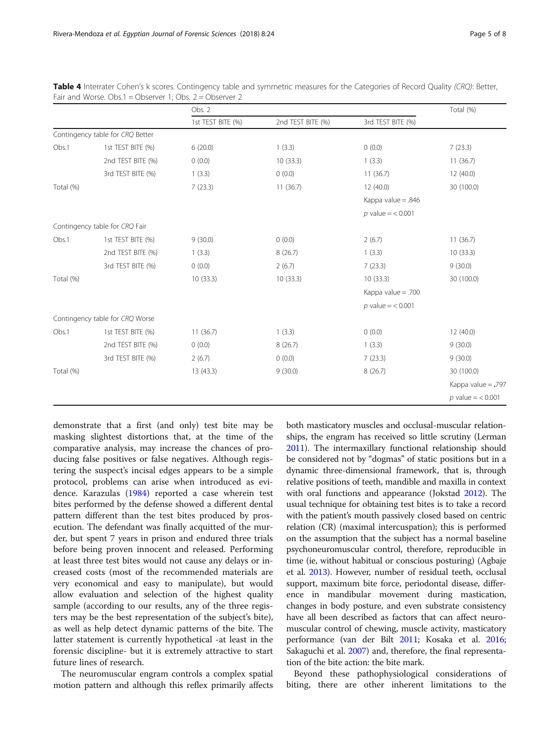|           |                                  | Obs. 2             |                   |                            | Total (%)                  |
|-----------|----------------------------------|--------------------|-------------------|----------------------------|----------------------------|
|           |                                  | 1st TEST BITE (%)  | 2nd TEST BITE (%) | 3rd TEST BITE (%)          |                            |
|           | Contingency table for CRQ Better |                    |                   |                            |                            |
| Obs.1     | 1st TEST BITE (%)                | 6(20.0)            | 1(3.3)            | 0(0.0)                     | 7(23.3)                    |
|           | 2nd TEST BITE (%)                | 0(0.0)             | 10(33.3)          | 1(3.3)                     | 11(36.7)                   |
|           | 3rd TEST BITE (%)                | 1(3.3)             | 0(0.0)            | 11(36.7)                   | 12(40.0)                   |
| Total (%) |                                  | 7(23.3)            | 11(36.7)          | 12 (40.0)                  | 30 (100.0)                 |
|           |                                  | Kappa value = .846 |                   |                            |                            |
|           |                                  |                    |                   | <i>p</i> value = $< 0.001$ |                            |
|           | Contingency table for CRQ Fair   |                    |                   |                            |                            |
| Obs.1     | 1st TEST BITE (%)                | 9(30.0)            | 0(0.0)            | 2(6.7)                     | 11(36.7)                   |
|           | 2nd TEST BITE (%)                | 1(3.3)             | 8(26.7)           | 1(3.3)                     | 10(33.3)                   |
|           | 3rd TEST BITE (%)                | 0(0.0)             | 2(6.7)            | 7(23.3)                    | 9(30.0)                    |
| Total (%) |                                  | 10(33.3)           | 10(33.3)          | 10(33.3)                   | 30 (100.0)                 |
|           |                                  |                    |                   | Kappa value = .700         |                            |
|           |                                  |                    |                   | $p$ value = < 0.001        |                            |
|           | Contingency table for CRQ Worse  |                    |                   |                            |                            |
| Obs.1     | 1st TEST BITE (%)                | 11(36.7)           | 1(3.3)            | 0(0.0)                     | 12(40.0)                   |
|           | 2nd TEST BITE (%)                | 0(0.0)             | 8 (26.7)          | 1(3.3)                     | 9(30.0)                    |
|           | 3rd TEST BITE (%)                | 2(6.7)             | 0(0.0)            | 7(23.3)                    | 9(30.0)                    |
| Total (%) |                                  | 13(43.3)           | 9(30.0)           | 8(26.7)                    | 30 (100.0)                 |
|           |                                  |                    |                   |                            | Kappa value = .797         |
|           |                                  |                    |                   |                            | <i>p</i> value = $< 0.001$ |

<span id="page-4-0"></span>Table 4 Interrater Cohen's k scores. Contingency table and symmetric measures for the Categories of Record Quality (CRQ): Better, Fair and Worse. Obs.1 = Observer 1; Obs. 2 = Observer 2

demonstrate that a first (and only) test bite may be masking slightest distortions that, at the time of the comparative analysis, may increase the chances of producing false positives or false negatives. Although registering the suspect's incisal edges appears to be a simple protocol, problems can arise when introduced as evidence. Karazulas [\(1984](#page-6-0)) reported a case wherein test bites performed by the defense showed a different dental pattern different than the test bites produced by prosecution. The defendant was finally acquitted of the murder, but spent 7 years in prison and endured three trials before being proven innocent and released. Performing at least three test bites would not cause any delays or increased costs (most of the recommended materials are very economical and easy to manipulate), but would allow evaluation and selection of the highest quality sample (according to our results, any of the three registers may be the best representation of the subject's bite), as well as help detect dynamic patterns of the bite. The latter statement is currently hypothetical -at least in the forensic discipline- but it is extremely attractive to start future lines of research.

The neuromuscular engram controls a complex spatial motion pattern and although this reflex primarily affects both masticatory muscles and occlusal-muscular relationships, the engram has received so little scrutiny (Lerman [2011](#page-6-0)). The intermaxillary functional relationship should be considered not by "dogmas" of static positions but in a dynamic three-dimensional framework, that is, through relative positions of teeth, mandible and maxilla in context with oral functions and appearance (Jokstad [2012](#page-6-0)). The usual technique for obtaining test bites is to take a record with the patient's mouth passively closed based on centric relation (CR) (maximal intercuspation); this is performed on the assumption that the subject has a normal baseline psychoneuromuscular control, therefore, reproducible in time (ie, without habitual or conscious posturing) (Agbaje et al. [2013](#page-6-0)). However, number of residual teeth, occlusal support, maximum bite force, periodontal disease, difference in mandibular movement during mastication, changes in body posture, and even substrate consistency have all been described as factors that can affect neuromuscular control of chewing, muscle activity, masticatory performance (van der Bilt [2011](#page-7-0); Kosaka et al. [2016](#page-6-0); Sakaguchi et al. [2007\)](#page-7-0) and, therefore, the final representation of the bite action: the bite mark.

Beyond these pathophysiological considerations of biting, there are other inherent limitations to the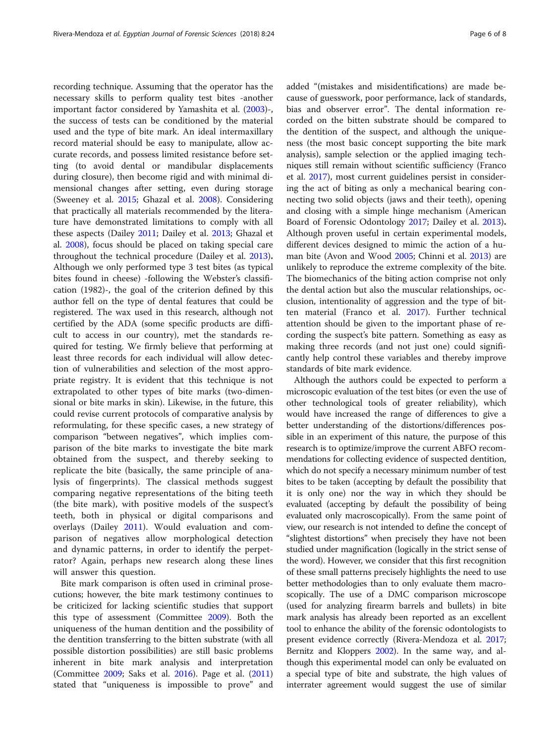recording technique. Assuming that the operator has the necessary skills to perform quality test bites -another important factor considered by Yamashita et al. [\(2003\)](#page-7-0)-, the success of tests can be conditioned by the material used and the type of bite mark. An ideal intermaxillary record material should be easy to manipulate, allow accurate records, and possess limited resistance before setting (to avoid dental or mandibular displacements during closure), then become rigid and with minimal dimensional changes after setting, even during storage (Sweeney et al. [2015](#page-7-0); Ghazal et al. [2008](#page-6-0)). Considering that practically all materials recommended by the literature have demonstrated limitations to comply with all these aspects (Dailey [2011;](#page-6-0) Dailey et al. [2013](#page-6-0); Ghazal et al. [2008](#page-6-0)), focus should be placed on taking special care throughout the technical procedure (Dailey et al. [2013\)](#page-6-0). Although we only performed type 3 test bites (as typical bites found in cheese) -following the Webster's classification (1982)-, the goal of the criterion defined by this author fell on the type of dental features that could be registered. The wax used in this research, although not certified by the ADA (some specific products are difficult to access in our country), met the standards required for testing. We firmly believe that performing at least three records for each individual will allow detection of vulnerabilities and selection of the most appropriate registry. It is evident that this technique is not extrapolated to other types of bite marks (two-dimensional or bite marks in skin). Likewise, in the future, this could revise current protocols of comparative analysis by reformulating, for these specific cases, a new strategy of comparison "between negatives", which implies comparison of the bite marks to investigate the bite mark obtained from the suspect, and thereby seeking to replicate the bite (basically, the same principle of analysis of fingerprints). The classical methods suggest comparing negative representations of the biting teeth (the bite mark), with positive models of the suspect's teeth, both in physical or digital comparisons and overlays (Dailey [2011\)](#page-6-0). Would evaluation and comparison of negatives allow morphological detection and dynamic patterns, in order to identify the perpetrator? Again, perhaps new research along these lines will answer this question.

Bite mark comparison is often used in criminal prosecutions; however, the bite mark testimony continues to be criticized for lacking scientific studies that support this type of assessment (Committee [2009\)](#page-6-0). Both the uniqueness of the human dentition and the possibility of the dentition transferring to the bitten substrate (with all possible distortion possibilities) are still basic problems inherent in bite mark analysis and interpretation (Committee [2009;](#page-6-0) Saks et al. [2016](#page-7-0)). Page et al. ([2011](#page-7-0)) stated that "uniqueness is impossible to prove" and

added "(mistakes and misidentifications) are made because of guesswork, poor performance, lack of standards, bias and observer error". The dental information recorded on the bitten substrate should be compared to the dentition of the suspect, and although the uniqueness (the most basic concept supporting the bite mark analysis), sample selection or the applied imaging techniques still remain without scientific sufficiency (Franco et al. [2017](#page-6-0)), most current guidelines persist in considering the act of biting as only a mechanical bearing connecting two solid objects (jaws and their teeth), opening and closing with a simple hinge mechanism (American Board of Forensic Odontology [2017](#page-6-0); Dailey et al. [2013](#page-6-0)). Although proven useful in certain experimental models, different devices designed to mimic the action of a human bite (Avon and Wood [2005;](#page-6-0) Chinni et al. [2013\)](#page-6-0) are unlikely to reproduce the extreme complexity of the bite. The biomechanics of the biting action comprise not only the dental action but also the muscular relationships, occlusion, intentionality of aggression and the type of bitten material (Franco et al. [2017](#page-6-0)). Further technical attention should be given to the important phase of recording the suspect's bite pattern. Something as easy as making three records (and not just one) could significantly help control these variables and thereby improve standards of bite mark evidence.

Although the authors could be expected to perform a microscopic evaluation of the test bites (or even the use of other technological tools of greater reliability), which would have increased the range of differences to give a better understanding of the distortions/differences possible in an experiment of this nature, the purpose of this research is to optimize/improve the current ABFO recommendations for collecting evidence of suspected dentition, which do not specify a necessary minimum number of test bites to be taken (accepting by default the possibility that it is only one) nor the way in which they should be evaluated (accepting by default the possibility of being evaluated only macroscopically). From the same point of view, our research is not intended to define the concept of "slightest distortions" when precisely they have not been studied under magnification (logically in the strict sense of the word). However, we consider that this first recognition of these small patterns precisely highlights the need to use better methodologies than to only evaluate them macroscopically. The use of a DMC comparison microscope (used for analyzing firearm barrels and bullets) in bite mark analysis has already been reported as an excellent tool to enhance the ability of the forensic odontologists to present evidence correctly (Rivera-Mendoza et al. [2017](#page-7-0); Bernitz and Kloppers [2002\)](#page-6-0). In the same way, and although this experimental model can only be evaluated on a special type of bite and substrate, the high values of interrater agreement would suggest the use of similar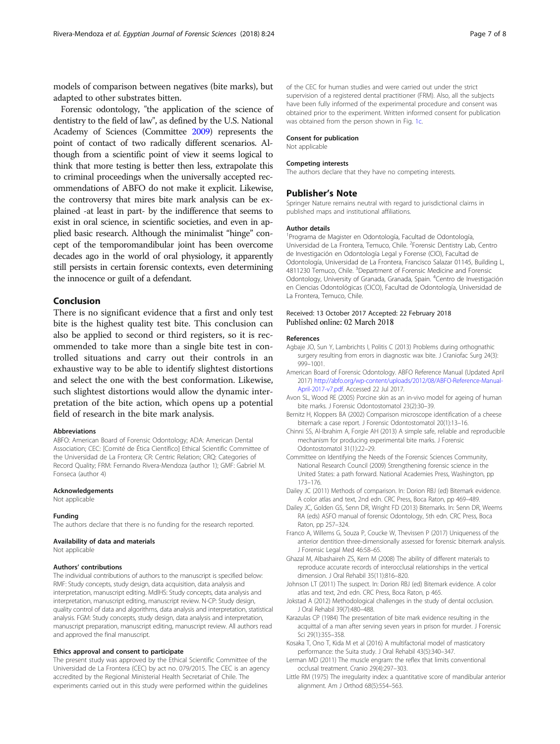<span id="page-6-0"></span>models of comparison between negatives (bite marks), but adapted to other substrates bitten.

Forensic odontology, "the application of the science of dentistry to the field of law", as defined by the U.S. National Academy of Sciences (Committee 2009) represents the point of contact of two radically different scenarios. Although from a scientific point of view it seems logical to think that more testing is better then less, extrapolate this to criminal proceedings when the universally accepted recommendations of ABFO do not make it explicit. Likewise, the controversy that mires bite mark analysis can be explained -at least in part- by the indifference that seems to exist in oral science, in scientific societies, and even in applied basic research. Although the minimalist "hinge" concept of the temporomandibular joint has been overcome decades ago in the world of oral physiology, it apparently still persists in certain forensic contexts, even determining the innocence or guilt of a defendant.

## Conclusion

There is no significant evidence that a first and only test bite is the highest quality test bite. This conclusion can also be applied to second or third registers, so it is recommended to take more than a single bite test in controlled situations and carry out their controls in an exhaustive way to be able to identify slightest distortions and select the one with the best conformation. Likewise, such slightest distortions would allow the dynamic interpretation of the bite action, which opens up a potential field of research in the bite mark analysis.

#### Abbreviations

ABFO: American Board of Forensic Odontology; ADA: American Dental Association; CEC: [Comité de Ética Científico] Ethical Scientific Committee of the Universidad de La Frontera; CR: Centric Relation; CRQ: Categories of Record Quality; FRM: Fernando Rivera-Mendoza (author 1); GMF: Gabriel M. Fonseca (author 4)

#### Acknowledgements

Not applicable

#### Funding

The authors declare that there is no funding for the research reported.

#### Availability of data and materials

Not applicable

#### Authors' contributions

The individual contributions of authors to the manuscript is specified below: RMF: Study concepts, study design, data acquisition, data analysis and interpretation, manuscript editing. MdlHS: Study concepts, data analysis and interpretation, manuscript editing, manuscript review. N-CP: Study design, quality control of data and algorithms, data analysis and interpretation, statistical analysis. FGM: Study concepts, study design, data analysis and interpretation, manuscript preparation, manuscript editing, manuscript review. All authors read and approved the final manuscript.

#### Ethics approval and consent to participate

The present study was approved by the Ethical Scientific Committee of the Universidad de La Frontera (CEC) by act no. 079/2015. The CEC is an agency accredited by the Regional Ministerial Health Secretariat of Chile. The experiments carried out in this study were performed within the guidelines

of the CEC for human studies and were carried out under the strict supervision of a registered dental practitioner (FRM). Also, all the subjects have been fully informed of the experimental procedure and consent was obtained prior to the experiment. Written informed consent for publication was obtained from the person shown in Fig. [1c.](#page-2-0)

#### Consent for publication

Not applicable

#### Competing interests

The authors declare that they have no competing interests.

#### Publisher's Note

Springer Nature remains neutral with regard to jurisdictional claims in published maps and institutional affiliations.

#### Author details

1 Programa de Magister en Odontología, Facultad de Odontología, Universidad de La Frontera, Temuco, Chile. <sup>2</sup>Forensic Dentistry Lab, Centro de Investigación en Odontología Legal y Forense (CIO), Facultad de Odontología, Universidad de La Frontera, Francisco Salazar 01145, Building L, 4811230 Temuco, Chile. <sup>3</sup>Department of Forensic Medicine and Forensic Odontology, University of Granada, Granada, Spain. <sup>4</sup>Centro de Investigación en Ciencias Odontológicas (CICO), Facultad de Odontología, Universidad de La Frontera, Temuco, Chile.

#### Received: 13 October 2017 Accepted: 22 February 2018 Published online: 02 March 2018

#### References

- Agbaje JO, Sun Y, Lambrichts I, Politis C (2013) Problems during orthognathic surgery resulting from errors in diagnostic wax bite. J Craniofac Surg 24(3): 999–1001.
- American Board of Forensic Odontology. ABFO Reference Manual (Updated April 2017) [http://abfo.org/wp-content/uploads/2012/08/ABFO-Reference-Manual-](http://abfo.org/wp-content/uploads/2012/08/ABFO-Reference-Manual-April-2017-v7.pdf)[April-2017-v7.pdf.](http://abfo.org/wp-content/uploads/2012/08/ABFO-Reference-Manual-April-2017-v7.pdf) Accessed 22 Jul 2017.
- Avon SL, Wood RE (2005) Porcine skin as an in-vivo model for ageing of human bite marks. J Forensic Odontostomatol 23(2):30–39.
- Bernitz H, Kloppers BA (2002) Comparison microscope identification of a cheese bitemark: a case report. J Forensic Odontostomatol 20(1):13–16.
- Chinni SS, Al-Ibrahim A, Forgie AH (2013) A simple safe, reliable and reproducible mechanism for producing experimental bite marks. J Forensic Odontostomatol 31(1):22–29.
- Committee on Identifying the Needs of the Forensic Sciences Community, National Research Council (2009) Strengthening forensic science in the United States: a path forward. National Academies Press, Washington, pp 173–176.
- Dailey JC (2011) Methods of comparison. In: Dorion RBJ (ed) Bitemark evidence. A color atlas and text, 2nd edn. CRC Press, Boca Raton, pp 469–489.
- Dailey JC, Golden GS, Senn DR, Wright FD (2013) Bitemarks. In: Senn DR, Weems RA (eds) ASFO manual of forensic Odontology, 5th edn. CRC Press, Boca Raton, pp 257–324.
- Franco A, Willems G, Souza P, Coucke W, Thevissen P (2017) Uniqueness of the anterior dentition three-dimensionally assessed for forensic bitemark analysis. J Forensic Legal Med 46:58–65.
- Ghazal M, Albashaireh ZS, Kern M (2008) The ability of different materials to reproduce accurate records of interocclusal relationships in the vertical dimension. J Oral Rehabil 35(11):816–820.
- Johnson LT (2011) The suspect. In: Dorion RBJ (ed) Bitemark evidence. A color atlas and text, 2nd edn. CRC Press, Boca Raton, p 465.
- Jokstad A (2012) Methodological challenges in the study of dental occlusion. J Oral Rehabil 39(7):480–488.
- Karazulas CP (1984) The presentation of bite mark evidence resulting in the acquittal of a man after serving seven years in prison for murder. J Forensic Sci 29(1):355–358.
- Kosaka T, Ono T, Kida M et al (2016) A multifactorial model of masticatory performance: the Suita study. J Oral Rehabil 43(5):340–347.
- Lerman MD (2011) The muscle engram: the reflex that limits conventional occlusal treatment. Cranio 29(4):297–303.
- Little RM (1975) The irregularity index: a quantitative score of mandibular anterior alignment. Am J Orthod 68(5):554–563.